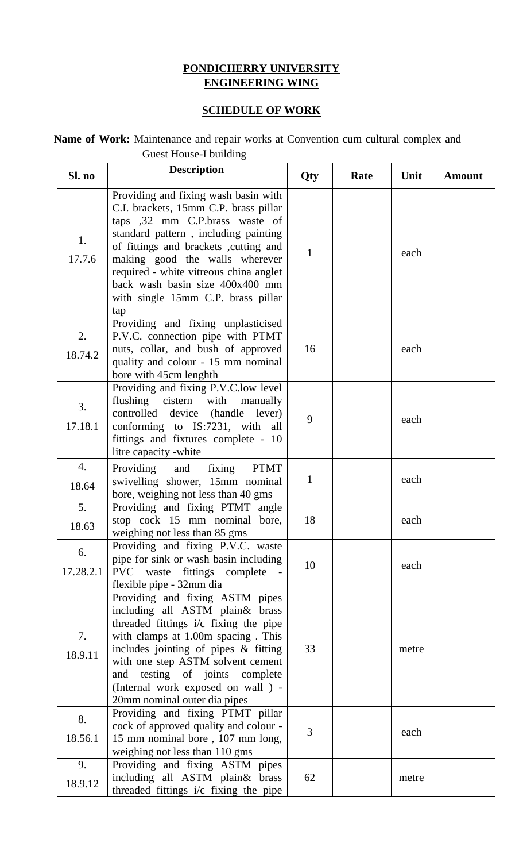## **PONDICHERRY UNIVERSITY ENGINEERING WING**

## **SCHEDULE OF WORK**

## **Name of Work:** Maintenance and repair works at Convention cum cultural complex and Guest House-I building

| Sl. no          | <b>Description</b>                                                                                                                                                                                                                                                                                                                                            | Qty          | Rate | Unit  | Amount |
|-----------------|---------------------------------------------------------------------------------------------------------------------------------------------------------------------------------------------------------------------------------------------------------------------------------------------------------------------------------------------------------------|--------------|------|-------|--------|
| 1.<br>17.7.6    | Providing and fixing wash basin with<br>C.I. brackets, 15mm C.P. brass pillar<br>taps ,32 mm C.P.brass waste of<br>standard pattern, including painting<br>of fittings and brackets , cutting and<br>making good the walls wherever<br>required - white vitreous china anglet<br>back wash basin size 400x400 mm<br>with single 15mm C.P. brass pillar<br>tap | $\mathbf{1}$ |      | each  |        |
| 2.<br>18.74.2   | Providing and fixing unplasticised<br>P.V.C. connection pipe with PTMT<br>nuts, collar, and bush of approved<br>quality and colour - 15 mm nominal<br>bore with 45cm lenghth                                                                                                                                                                                  | 16           |      | each  |        |
| 3.<br>17.18.1   | Providing and fixing P.V.C.low level<br>flushing cistern with manually<br>controlled device (handle lever)<br>conforming to IS:7231, with all<br>fittings and fixtures complete - 10<br>litre capacity -white                                                                                                                                                 | 9            |      | each  |        |
| 4.<br>18.64     | Providing and fixing<br><b>PTMT</b><br>swivelling shower, 15mm nominal<br>bore, weighing not less than 40 gms                                                                                                                                                                                                                                                 | $\mathbf{1}$ |      | each  |        |
| 5.<br>18.63     | Providing and fixing PTMT angle<br>stop cock 15 mm nominal bore,<br>weighing not less than 85 gms                                                                                                                                                                                                                                                             | 18           |      | each  |        |
| 6.<br>17.28.2.1 | Providing and fixing P.V.C. waste<br>pipe for sink or wash basin including<br>PVC waste fittings complete<br>flexible pipe - 32mm dia                                                                                                                                                                                                                         | 10           |      | each  |        |
| 7.<br>18.9.11   | Providing and fixing ASTM pipes<br>including all ASTM plain& brass<br>threaded fittings i/c fixing the pipe<br>with clamps at 1.00m spacing. This<br>includes jointing of pipes $\&$ fitting<br>with one step ASTM solvent cement<br>testing of joints complete<br>and<br>(Internal work exposed on wall ) -<br>20mm nominal outer dia pipes                  | 33           |      | metre |        |
| 8.<br>18.56.1   | Providing and fixing PTMT pillar<br>cock of approved quality and colour -<br>15 mm nominal bore, 107 mm long,<br>weighing not less than 110 gms                                                                                                                                                                                                               | 3            |      | each  |        |
| 9.<br>18.9.12   | Providing and fixing ASTM pipes<br>including all ASTM plain& brass<br>threaded fittings i/c fixing the pipe                                                                                                                                                                                                                                                   | 62           |      | metre |        |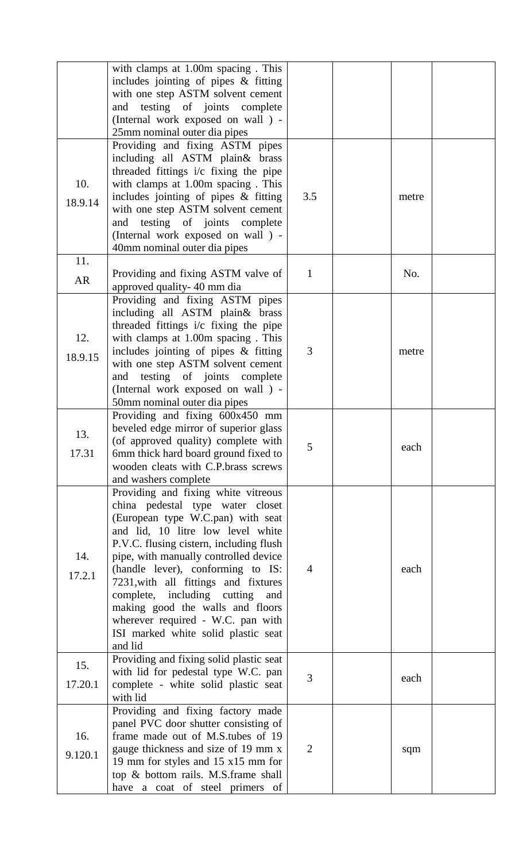|           | with clamps at 1.00m spacing. This<br>includes jointing of pipes $\&$ fitting<br>with one step ASTM solvent cement |                |       |  |
|-----------|--------------------------------------------------------------------------------------------------------------------|----------------|-------|--|
|           | and testing of joints complete                                                                                     |                |       |  |
|           | (Internal work exposed on wall ) -                                                                                 |                |       |  |
|           | 25mm nominal outer dia pipes<br>Providing and fixing ASTM pipes                                                    |                |       |  |
|           | including all ASTM plain& brass                                                                                    |                |       |  |
|           | threaded fittings i/c fixing the pipe                                                                              |                |       |  |
| 10.       | with clamps at 1.00m spacing. This                                                                                 |                |       |  |
|           | includes jointing of pipes $\&$ fitting                                                                            | 3.5            | metre |  |
| 18.9.14   | with one step ASTM solvent cement                                                                                  |                |       |  |
|           | testing of joints complete<br>and                                                                                  |                |       |  |
|           | (Internal work exposed on wall ) -                                                                                 |                |       |  |
|           | 40mm nominal outer dia pipes                                                                                       |                |       |  |
| 11.       |                                                                                                                    |                |       |  |
| <b>AR</b> | Providing and fixing ASTM valve of                                                                                 | $\mathbf{1}$   | No.   |  |
|           | approved quality-40 mm dia                                                                                         |                |       |  |
|           | Providing and fixing ASTM pipes                                                                                    |                |       |  |
|           | including all ASTM plain& brass                                                                                    |                |       |  |
|           | threaded fittings i/c fixing the pipe                                                                              |                |       |  |
| 12.       | with clamps at 1.00m spacing. This                                                                                 | 3              |       |  |
| 18.9.15   | includes jointing of pipes $\&$ fitting<br>with one step ASTM solvent cement                                       |                | metre |  |
|           | testing of joints complete<br>and                                                                                  |                |       |  |
|           | (Internal work exposed on wall ) -                                                                                 |                |       |  |
|           | 50mm nominal outer dia pipes                                                                                       |                |       |  |
|           | Providing and fixing 600x450 mm                                                                                    |                |       |  |
| 13.       | beveled edge mirror of superior glass                                                                              |                |       |  |
|           | (of approved quality) complete with                                                                                | $\mathcal{C}$  | each  |  |
| 17.31     | 6mm thick hard board ground fixed to                                                                               |                |       |  |
|           | wooden cleats with C.P.brass screws                                                                                |                |       |  |
|           | and washers complete                                                                                               |                |       |  |
|           | Providing and fixing white vitreous                                                                                |                |       |  |
|           | china pedestal type water closet                                                                                   |                |       |  |
|           | (European type W.C.pan) with seat<br>and lid, 10 litre low level white                                             |                |       |  |
|           | P.V.C. flusing cistern, including flush                                                                            |                |       |  |
| 14.       | pipe, with manually controlled device                                                                              |                |       |  |
|           | (handle lever), conforming to IS:                                                                                  | $\overline{4}$ | each  |  |
| 17.2.1    | 7231, with all fittings and fixtures                                                                               |                |       |  |
|           | complete, including cutting<br>and                                                                                 |                |       |  |
|           | making good the walls and floors                                                                                   |                |       |  |
|           | wherever required - W.C. pan with                                                                                  |                |       |  |
|           | ISI marked white solid plastic seat                                                                                |                |       |  |
|           | and lid                                                                                                            |                |       |  |
| 15.       | Providing and fixing solid plastic seat                                                                            |                |       |  |
| 17.20.1   | with lid for pedestal type W.C. pan<br>complete - white solid plastic seat                                         | 3              | each  |  |
|           | with lid                                                                                                           |                |       |  |
|           | Providing and fixing factory made                                                                                  |                |       |  |
|           | panel PVC door shutter consisting of                                                                               |                |       |  |
| 16.       | frame made out of M.S.tubes of 19                                                                                  |                |       |  |
| 9.120.1   | gauge thickness and size of 19 mm x                                                                                | $\overline{2}$ | sqm   |  |
|           | 19 mm for styles and 15 x15 mm for                                                                                 |                |       |  |
|           | top & bottom rails. M.S.frame shall                                                                                |                |       |  |
|           | have a coat of steel primers of                                                                                    |                |       |  |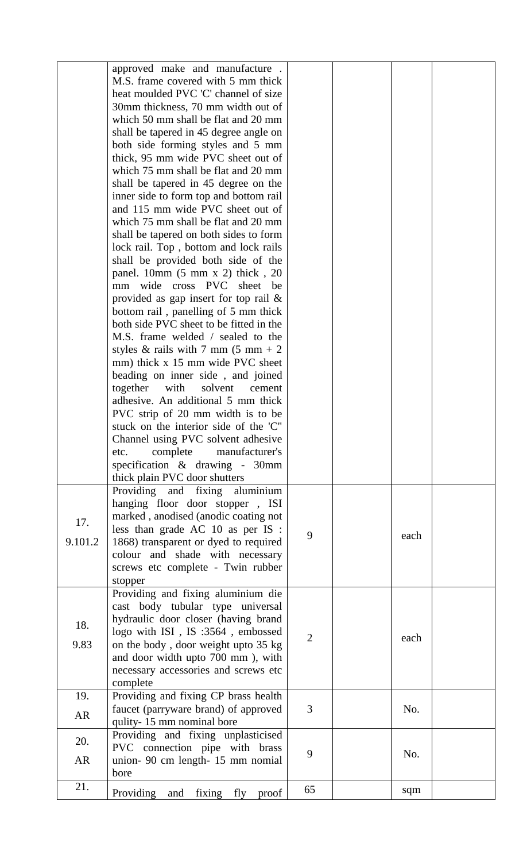|                  | approved make and manufacture.<br>M.S. frame covered with 5 mm thick<br>heat moulded PVC 'C' channel of size<br>30mm thickness, 70 mm width out of<br>which 50 mm shall be flat and 20 mm<br>shall be tapered in 45 degree angle on<br>both side forming styles and 5 mm<br>thick, 95 mm wide PVC sheet out of<br>which 75 mm shall be flat and 20 mm<br>shall be tapered in 45 degree on the<br>inner side to form top and bottom rail<br>and 115 mm wide PVC sheet out of<br>which 75 mm shall be flat and 20 mm<br>shall be tapered on both sides to form<br>lock rail. Top, bottom and lock rails                                                                                                               |                |      |  |
|------------------|---------------------------------------------------------------------------------------------------------------------------------------------------------------------------------------------------------------------------------------------------------------------------------------------------------------------------------------------------------------------------------------------------------------------------------------------------------------------------------------------------------------------------------------------------------------------------------------------------------------------------------------------------------------------------------------------------------------------|----------------|------|--|
|                  | shall be provided both side of the<br>panel. $10mm$ (5 mm x 2) thick, 20<br>wide cross PVC sheet<br>be<br>mm<br>provided as gap insert for top rail $\&$<br>bottom rail, panelling of 5 mm thick<br>both side PVC sheet to be fitted in the<br>M.S. frame welded / sealed to the<br>styles & rails with 7 mm $(5 \text{ mm} + 2)$<br>mm) thick x 15 mm wide PVC sheet<br>beading on inner side, and joined<br>together<br>with<br>solvent<br>cement<br>adhesive. An additional 5 mm thick<br>PVC strip of 20 mm width is to be<br>stuck on the interior side of the 'C"<br>Channel using PVC solvent adhesive<br>complete manufacturer's<br>etc.<br>specification & drawing - 30mm<br>thick plain PVC door shutters |                |      |  |
| 17.<br>9.101.2   | Providing and fixing aluminium<br>hanging floor door stopper, ISI<br>marked, anodised (anodic coating not<br>less than grade AC 10 as per IS :<br>1868) transparent or dyed to required<br>colour and shade with necessary<br>screws etc complete - Twin rubber<br>stopper                                                                                                                                                                                                                                                                                                                                                                                                                                          | 9              | each |  |
| 18.<br>9.83      | Providing and fixing aluminium die<br>cast body tubular type universal<br>hydraulic door closer (having brand<br>logo with ISI, IS :3564, embossed<br>on the body, door weight upto 35 kg<br>and door width upto 700 mm), with<br>necessary accessories and screws etc<br>complete                                                                                                                                                                                                                                                                                                                                                                                                                                  | $\overline{2}$ | each |  |
| 19.<br><b>AR</b> | Providing and fixing CP brass health<br>faucet (parryware brand) of approved<br>qulity-15 mm nominal bore                                                                                                                                                                                                                                                                                                                                                                                                                                                                                                                                                                                                           | 3              | No.  |  |
| 20.<br><b>AR</b> | Providing and fixing unplasticised<br>PVC connection pipe with brass<br>union- 90 cm length- 15 mm nomial                                                                                                                                                                                                                                                                                                                                                                                                                                                                                                                                                                                                           | 9              | No.  |  |
| 21.              | bore<br>Providing<br>fixing fly<br>and<br>proof                                                                                                                                                                                                                                                                                                                                                                                                                                                                                                                                                                                                                                                                     | 65             | sqm  |  |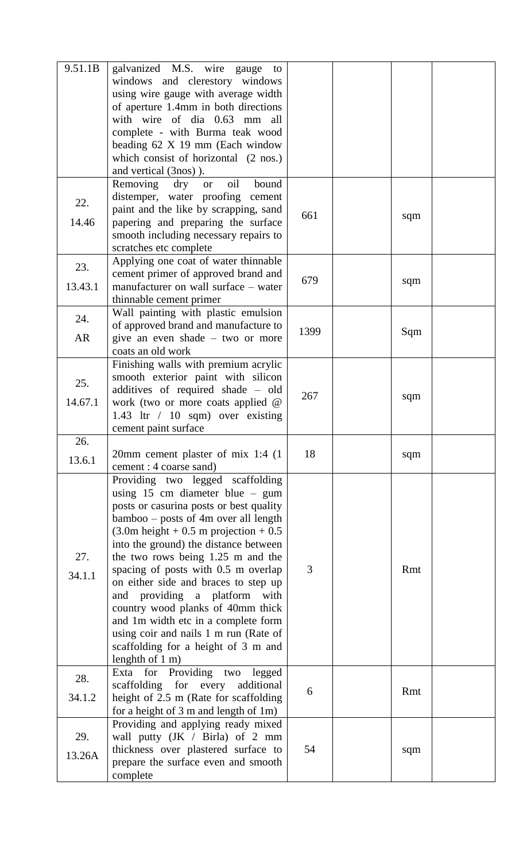| 9.51.1B          | galvanized M.S. wire gauge<br>to<br>windows and clerestory windows<br>using wire gauge with average width<br>of aperture 1.4mm in both directions<br>with wire of dia 0.63 mm all<br>complete - with Burma teak wood<br>beading 62 X 19 mm (Each window<br>which consist of horizontal (2 nos.)<br>and vertical (3nos)).                                                                                                                                                                                                                                                                                             |      |     |  |
|------------------|----------------------------------------------------------------------------------------------------------------------------------------------------------------------------------------------------------------------------------------------------------------------------------------------------------------------------------------------------------------------------------------------------------------------------------------------------------------------------------------------------------------------------------------------------------------------------------------------------------------------|------|-----|--|
| 22.<br>14.46     | oil<br>Removing<br>$\rm{dry}$<br>bound<br><b>or</b><br>distemper, water proofing cement<br>paint and the like by scrapping, sand<br>papering and preparing the surface<br>smooth including necessary repairs to<br>scratches etc complete                                                                                                                                                                                                                                                                                                                                                                            | 661  | sqm |  |
| 23.<br>13.43.1   | Applying one coat of water thinnable<br>cement primer of approved brand and<br>manufacturer on wall surface – water<br>thinnable cement primer                                                                                                                                                                                                                                                                                                                                                                                                                                                                       | 679  | sqm |  |
| 24.<br><b>AR</b> | Wall painting with plastic emulsion<br>of approved brand and manufacture to<br>give an even shade $-$ two or more<br>coats an old work                                                                                                                                                                                                                                                                                                                                                                                                                                                                               | 1399 | Sqm |  |
| 25.<br>14.67.1   | Finishing walls with premium acrylic<br>smooth exterior paint with silicon<br>additives of required shade - old<br>work (two or more coats applied @<br>1.43 ltr / 10 sqm) over existing<br>cement paint surface                                                                                                                                                                                                                                                                                                                                                                                                     | 267  | sqm |  |
| 26.<br>13.6.1    | 20mm cement plaster of mix 1:4 (1)<br>cement : 4 coarse sand)                                                                                                                                                                                                                                                                                                                                                                                                                                                                                                                                                        | 18   | sqm |  |
| 27.<br>34.1.1    | Providing two legged scaffolding<br>using $15 \text{ cm}$ diameter blue – gum<br>posts or casurina posts or best quality<br>bamboo – posts of 4m over all length<br>$(3.0m \text{ height} + 0.5 m \text{ projection} + 0.5)$<br>into the ground) the distance between<br>the two rows being 1.25 m and the<br>spacing of posts with 0.5 m overlap<br>on either side and braces to step up<br>and providing a platform with<br>country wood planks of 40mm thick<br>and 1m width etc in a complete form<br>using coir and nails 1 m run (Rate of<br>scaffolding for a height of 3 m and<br>lenghth of $1 \text{ m}$ ) | 3    | Rmt |  |
| 28.<br>34.1.2    | Exta for Providing two legged<br>scaffolding for every<br>additional<br>height of 2.5 m (Rate for scaffolding<br>for a height of $3 \text{ m}$ and length of $1 \text{ m}$ )                                                                                                                                                                                                                                                                                                                                                                                                                                         | 6    | Rmt |  |
| 29.<br>13.26A    | Providing and applying ready mixed<br>wall putty (JK / Birla) of 2 mm<br>thickness over plastered surface to<br>prepare the surface even and smooth<br>complete                                                                                                                                                                                                                                                                                                                                                                                                                                                      | 54   | sqm |  |